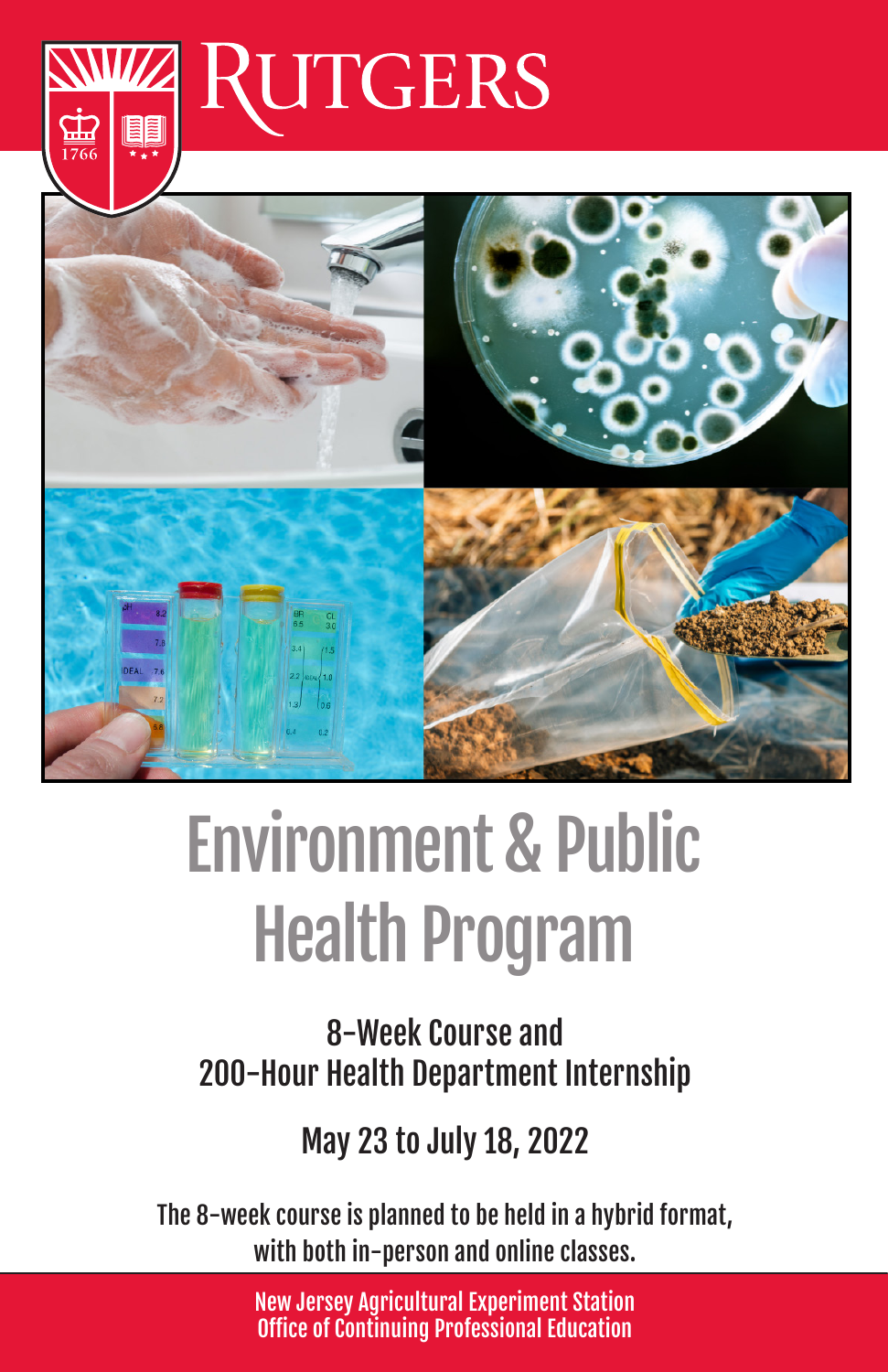



# Environment & Public Health Program

8-Week Course and 200-Hour Health Department Internship

May 23 to July 18, 2022

The 8-week course is planned to be held in a hybrid format, with both in-person and online classes.

> New Jersey Agricultural Experiment Station Office of Continuing Professional Education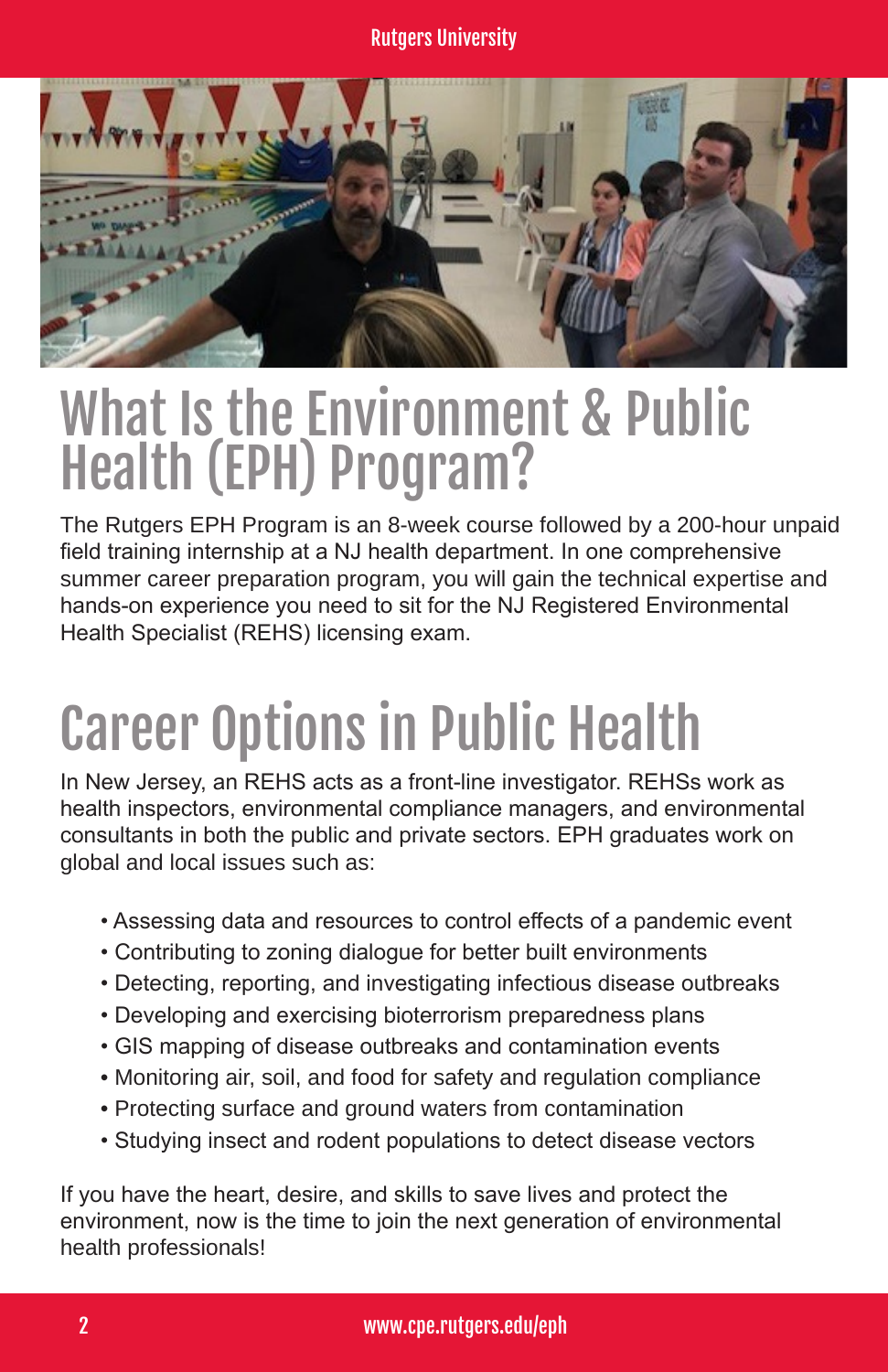

### What Is the Environment & Public Health (EPH) Program?

The Rutgers EPH Program is an 8-week course followed by a 200-hour unpaid field training internship at a NJ health department. In one comprehensive summer career preparation program, you will gain the technical expertise and hands-on experience you need to sit for the NJ Registered Environmental Health Specialist (REHS) licensing exam.

## Career Options in Public Health

In New Jersey, an REHS acts as a front-line investigator. REHSs work as health inspectors, environmental compliance managers, and environmental consultants in both the public and private sectors. EPH graduates work on global and local issues such as:

- Assessing data and resources to control effects of a pandemic event
- Contributing to zoning dialogue for better built environments
- Detecting, reporting, and investigating infectious disease outbreaks
- Developing and exercising bioterrorism preparedness plans
- GIS mapping of disease outbreaks and contamination events
- Monitoring air, soil, and food for safety and regulation compliance
- Protecting surface and ground waters from contamination
- Studying insect and rodent populations to detect disease vectors

If you have the heart, desire, and skills to save lives and protect the environment, now is the time to join the next generation of environmental health professionals!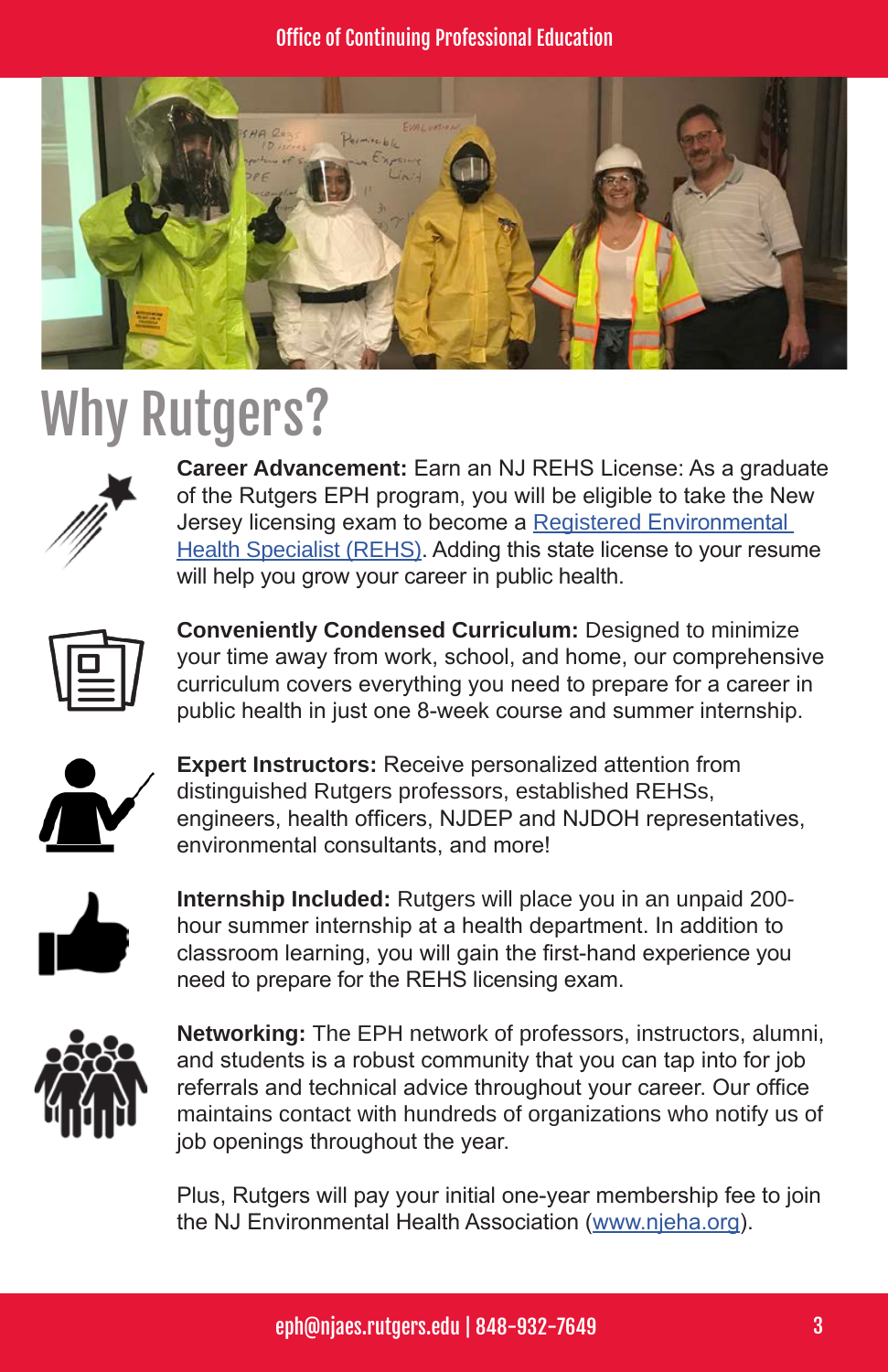#### Office of Continuing Professional Education



### Why Rutgers?



**Career Advancement:** Earn an NJ REHS License: As a graduate of the Rutgers EPH program, you will be eligible to take the New Jersey licensing exam to become a Registered Environmental Health Specialist (REHS). Adding this state license to your resume will help you grow your career in public health.



**Conveniently Condensed Curriculum:** Designed to minimize your time away from work, school, and home, our comprehensive curriculum covers everything you need to prepare for a career in public health in just one 8-week course and summer internship.



**Expert Instructors:** Receive personalized attention from distinguished Rutgers professors, established REHSs, engineers, health officers, NJDEP and NJDOH representatives, environmental consultants, and more!



**Internship Included:** Rutgers will place you in an unpaid 200 hour summer internship at a health department. In addition to classroom learning, you will gain the first-hand experience you need to prepare for the REHS licensing exam.



**Networking:** The EPH network of professors, instructors, alumni, and students is a robust community that you can tap into for job referrals and technical advice throughout your career. Our office maintains contact with hundreds of organizations who notify us of job openings throughout the year.

Plus, Rutgers will pay your initial one-year membership fee to join the NJ Environmental Health Association (www.njeha.org).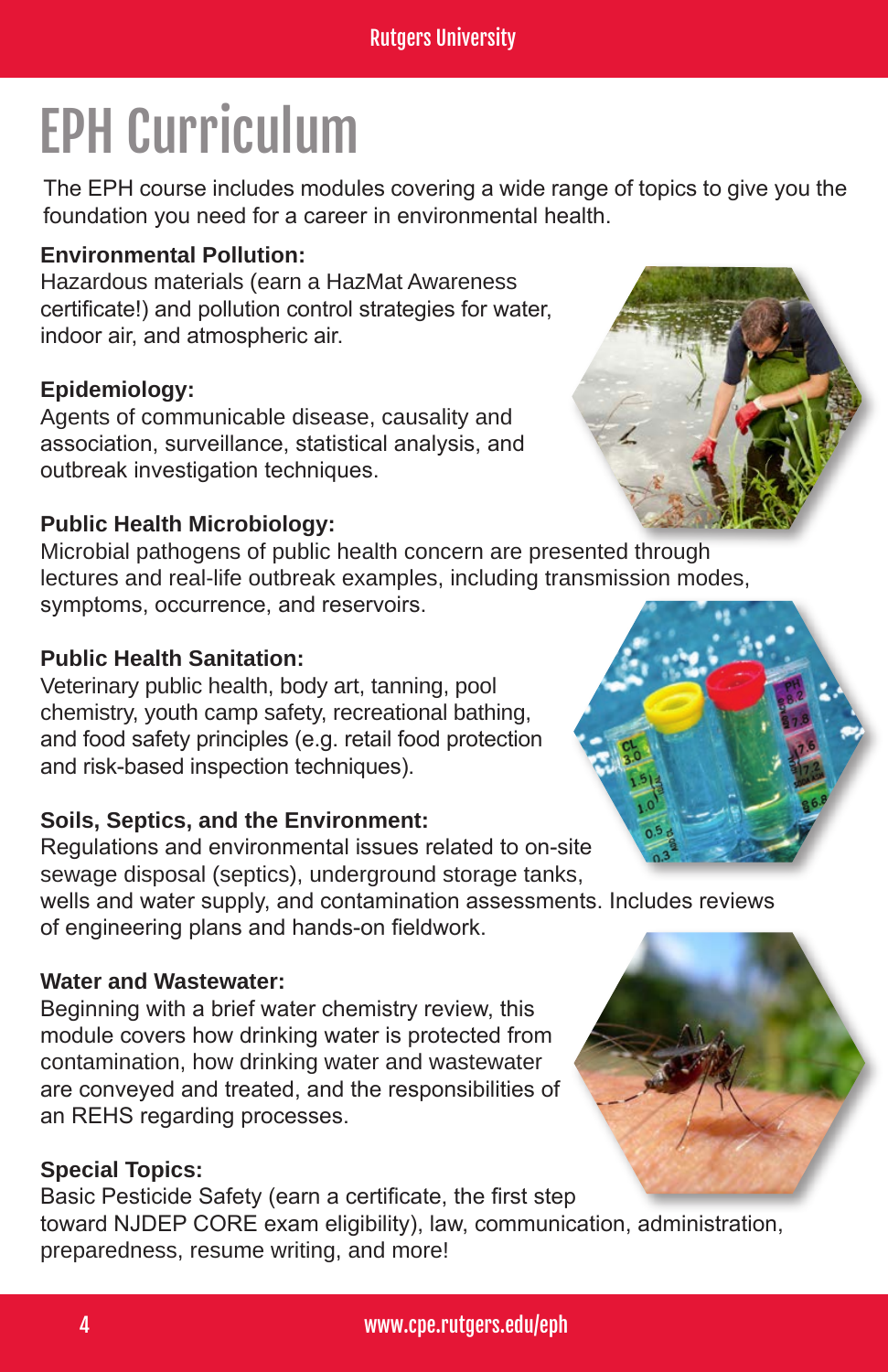## EPH Curriculum

The EPH course includes modules covering a wide range of topics to give you the foundation you need for a career in environmental health.

#### **Environmental Pollution:**

Hazardous materials (earn a HazMat Awareness certificate!) and pollution control strategies for water, indoor air, and atmospheric air.

#### **Epidemiology:**

Agents of communicable disease, causality and association, surveillance, statistical analysis, and outbreak investigation techniques.

#### **Public Health Microbiology:**

Microbial pathogens of public health concern are presented through lectures and real-life outbreak examples, including transmission modes, symptoms, occurrence, and reservoirs.

#### **Public Health Sanitation:**

Veterinary public health, body art, tanning, pool chemistry, youth camp safety, recreational bathing, and food safety principles (e.g. retail food protection and risk-based inspection techniques).

#### **Soils, Septics, and the Environment:**

Regulations and environmental issues related to on-site sewage disposal (septics), underground storage tanks,

wells and water supply, and contamination assessments. Includes reviews of engineering plans and hands-on fieldwork.

#### **Water and Wastewater:**

Beginning with a brief water chemistry review, this module covers how drinking water is protected from contamination, how drinking water and wastewater are conveyed and treated, and the responsibilities of an REHS regarding processes.

#### **Special Topics:**

Basic Pesticide Safety (earn a certificate, the first step toward NJDEP CORE exam eligibility), law, communication, administration, preparedness, resume writing, and more!





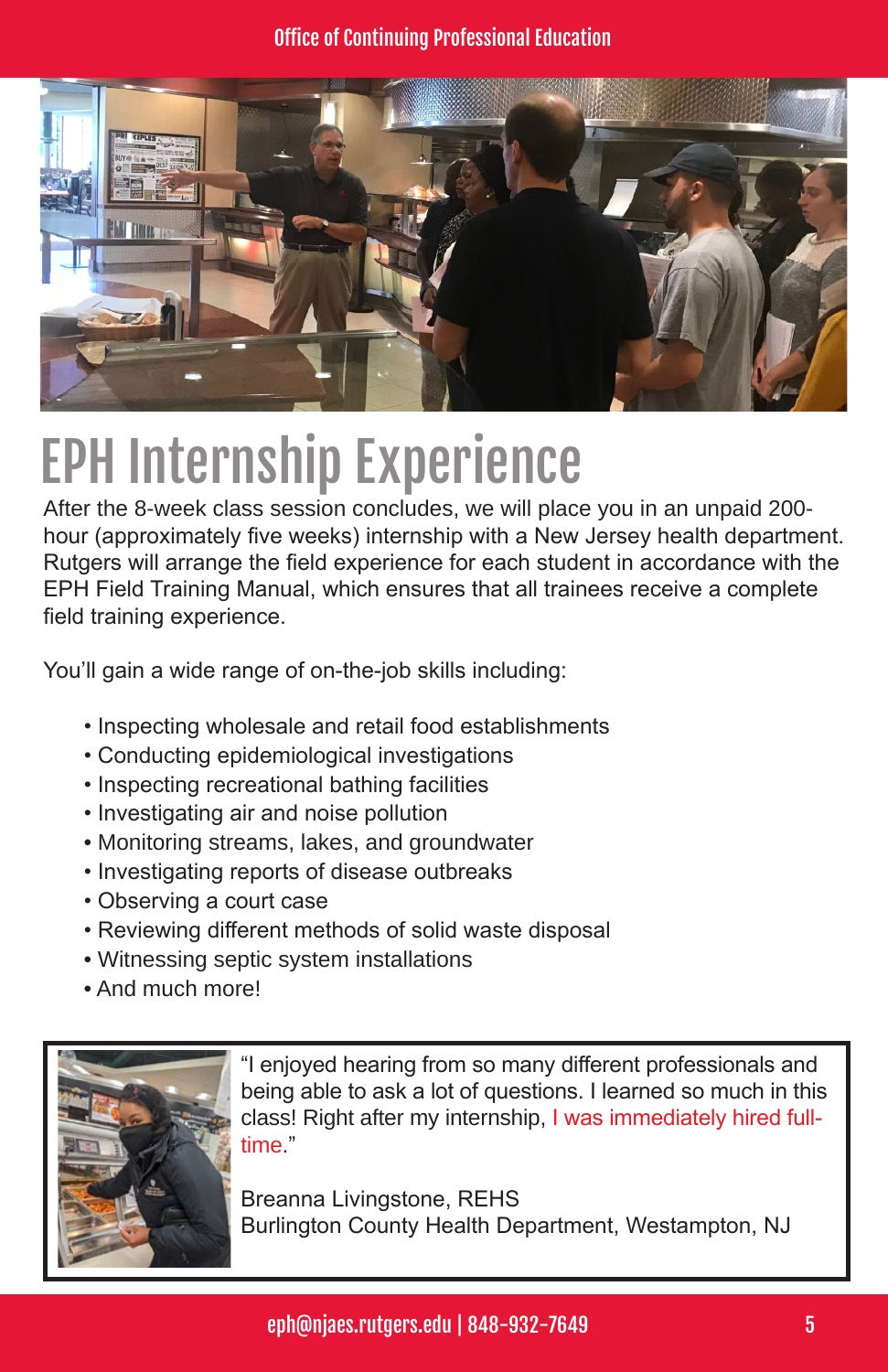

### EPH Internship Experience

After the 8-week class session concludes, we will place you in an unpaid 200 hour (approximately five weeks) internship with a New Jersey health department. Rutgers will arrange the field experience for each student in accordance with the EPH Field Training Manual, which ensures that all trainees receive a complete field training experience.

You'll gain a wide range of on-the-job skills including:

- Inspecting wholesale and retail food establishments
- Conducting epidemiological investigations
- Inspecting recreational bathing facilities
- Investigating air and noise pollution
- Monitoring streams, lakes, and groundwater
- Investigating reports of disease outbreaks
- Observing a court case
- Reviewing different methods of solid waste disposal
- Witnessing septic system installations
- And much more!



"I enjoyed hearing from so many different professionals and being able to ask a lot of questions. I learned so much in this class! Right after my internship, I was immediately hired fulltime."

Breanna Livingstone, REHS Burlington County Health Department, Westampton, NJ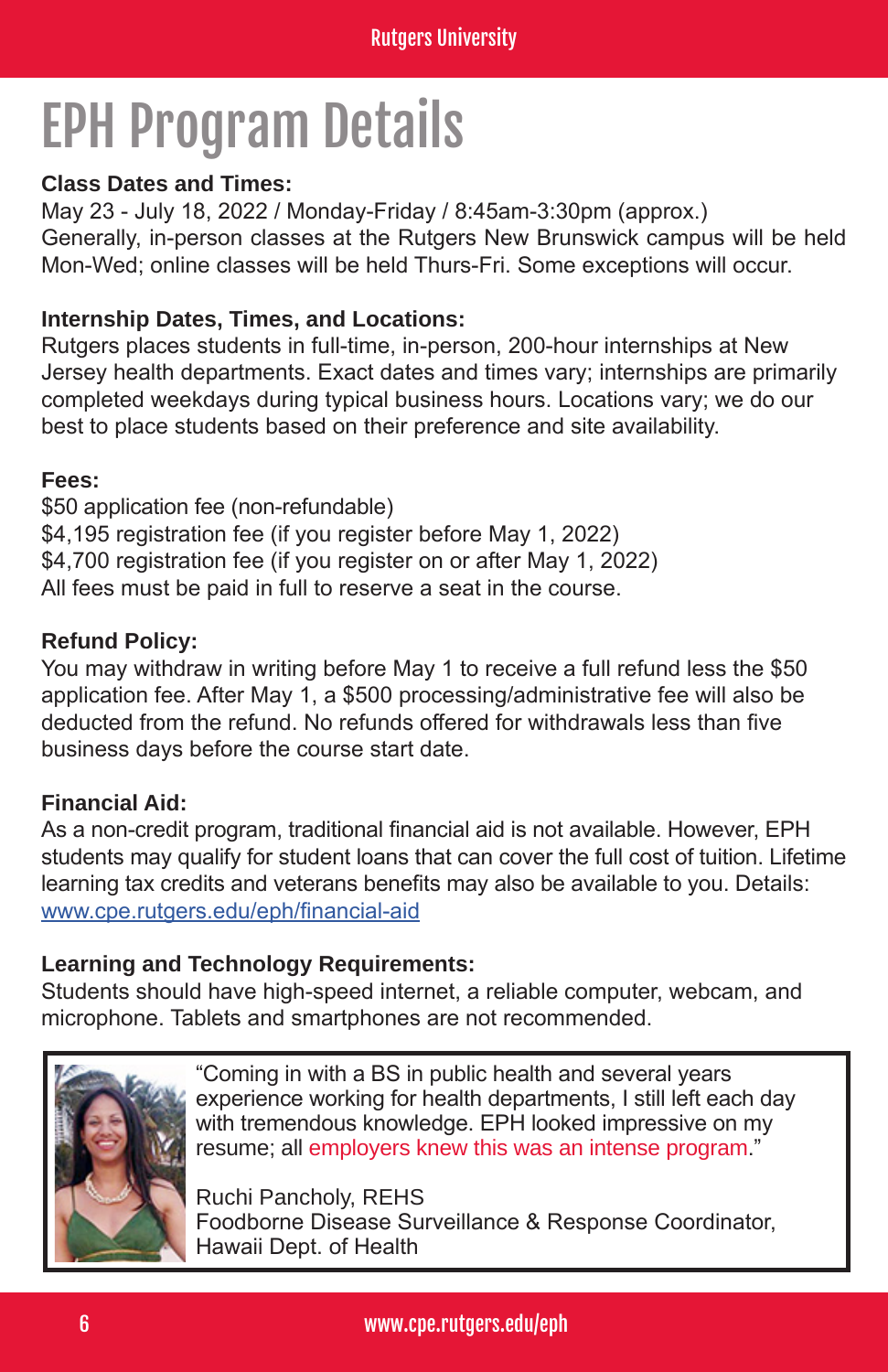### EPH Program Details

#### **Class Dates and Times:**

May 23 - July 18, 2022 / Monday-Friday / 8:45am-3:30pm (approx.) Generally, in-person classes at the Rutgers New Brunswick campus will be held Mon-Wed; online classes will be held Thurs-Fri. Some exceptions will occur.

#### **Internship Dates, Times, and Locations:**

Rutgers places students in full-time, in-person, 200-hour internships at New Jersey health departments. Exact dates and times vary; internships are primarily completed weekdays during typical business hours. Locations vary; we do our best to place students based on their preference and site availability.

#### **Fees:**

\$50 application fee (non-refundable) \$4,195 registration fee (if you register before May 1, 2022) \$4,700 registration fee (if you register on or after May 1, 2022) All fees must be paid in full to reserve a seat in the course.

#### **Refund Policy:**

You may withdraw in writing before May 1 to receive a full refund less the \$50 application fee. After May 1, a \$500 processing/administrative fee will also be deducted from the refund. No refunds offered for withdrawals less than five business days before the course start date.

#### **Financial Aid:**

As a non-credit program, traditional financial aid is not available. However, EPH students may qualify for student loans that can cover the full cost of tuition. Lifetime learning tax credits and veterans benefits may also be available to you. Details: www.cpe.rutgers.edu/eph/financial-aid

#### **Learning and Technology Requirements:**

Students should have high-speed internet, a reliable computer, webcam, and microphone. Tablets and smartphones are not recommended.



"Coming in with a BS in public health and several years experience working for health departments, I still left each day with tremendous knowledge. EPH looked impressive on my resume; all employers knew this was an intense program."

Ruchi Pancholy, REHS Foodborne Disease Surveillance & Response Coordinator, Hawaii Dept. of Health

6 www.cpe.rutgers.edu/eph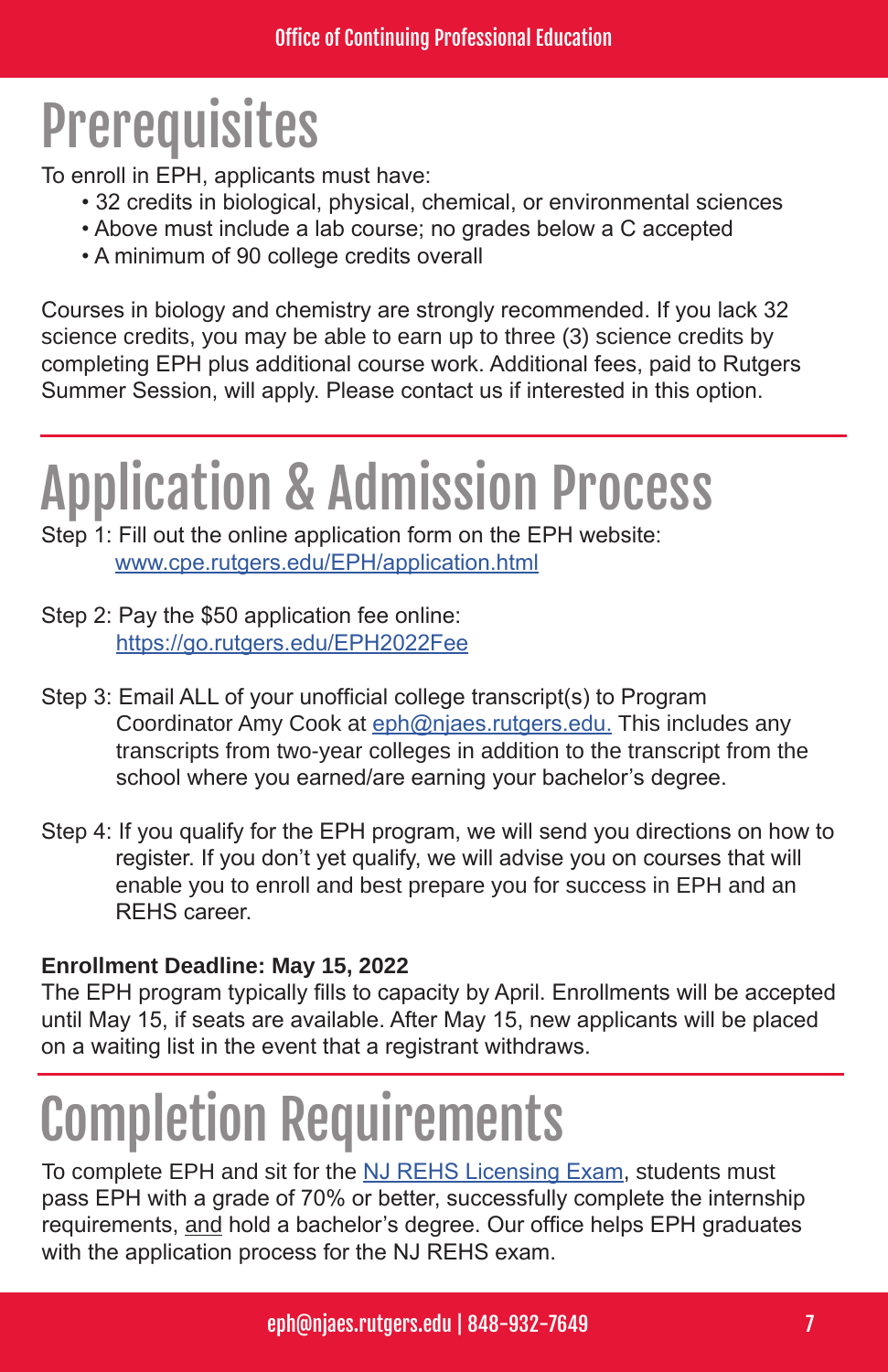### **Prerequisites**

To enroll in EPH, applicants must have:

- 32 credits in biological, physical, chemical, or environmental sciences
- Above must include a lab course; no grades below a C accepted
- A minimum of 90 college credits overall

Courses in biology and chemistry are strongly recommended. If you lack 32 science credits, you may be able to earn up to three (3) science credits by completing EPH plus additional course work. Additional fees, paid to Rutgers Summer Session, will apply. Please contact us if interested in this option.

### Application & Admission Process

Step 1: Fill out the online application form on the EPH website: www.cpe.rutgers.edu/EPH/application.html

- Step 2: Pay the \$50 application fee online: https://go.rutgers.edu/EPH2022Fee
- Step 3: Email ALL of your unofficial college transcript(s) to Program Coordinator Amy Cook at eph@njaes.rutgers.edu. This includes any transcripts from two-year colleges in addition to the transcript from the school where you earned/are earning your bachelor's degree.
- Step 4: If you qualify for the EPH program, we will send you directions on how to register. If you don't yet qualify, we will advise you on courses that will enable you to enroll and best prepare you for success in EPH and an REHS career.

#### **Enrollment Deadline: May 15, 2022**

The EPH program typically fills to capacity by April. Enrollments will be accepted until May 15, if seats are available. After May 15, new applicants will be placed on a waiting list in the event that a registrant withdraws.

## Completion Requirements

To complete EPH and sit for the NJ REHS Licensing Exam, students must pass EPH with a grade of 70% or better, successfully complete the internship requirements, and hold a bachelor's degree. Our office helps EPH graduates with the application process for the NJ REHS exam.